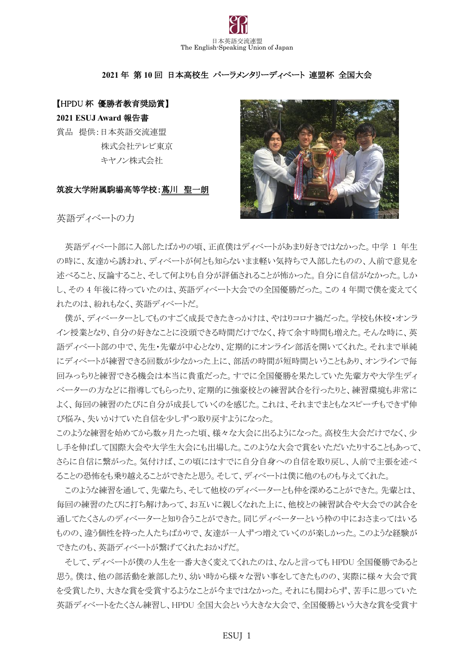

### **2021** 年 第 **10** 回 日本高校生 パーラメンタリーディベート 連盟杯 全国大会

### 【HPDU 杯 優勝者教育奨励賞】

#### **2021 ESUJ Award** 報告書

賞品 提供:日本英語交流連盟 株式会社テレビ東京 キヤノン株式会社

### 筑波大学附属駒場高等学校:蔦川 聖一朗



英語ディベートの力

英語ディベート部に入部したばかりの頃、正直僕はディベートがあまり好きではなかった。中学 1 年生 の時に、友達から誘われ、ディベートが何とも知らないまま軽い気持ちで入部したものの、人前で意見を 述べること、反論すること、そして何よりも自分が評価されることが怖かった。自分に自信がなかった。しか し、その 4 年後に待っていたのは、英語ディベート大会での全国優勝だった。この 4 年間で僕を変えてく れたのは、紛れもなく、英語ディベートだ。

僕が、ディベーターとしてものすごく成長できたきっかけは、やはりコロナ禍だった。学校も休校・オンラ イン授業となり、自分の好きなことに没頭できる時間だけでなく、持て余す時間も増えた。そんな時に、英 語ディベート部の中で、先生・先輩が中心となり、定期的にオンライン部活を開いてくれた。それまで単純 にディベートが練習できる回数が少なかった上に、部活の時間が短時間ということもあり、オンラインで毎 回みっちりと練習できる機会は本当に貴重だった。すでに全国優勝を果たしていた先輩方や大学生ディ ベーターの方などに指導してもらったり、定期的に強豪校との練習試合を行ったりと、練習環境も非常に よく、毎回の練習のたびに自分が成長していくのを感じた。これは、それまでまともなスピーチもできず伸 び悩み、失いかけていた自信を少しずつ取り戻すようになった。

このような練習を始めてから数ヶ月たった頃、様々な大会に出るようになった。高校生大会だけでなく、少 し手を伸ばして国際大会や大学生大会にも出場した。このような大会で賞をいただいたりすることもあって、 さらに自信に繋がった。気付けば、この頃にはすでに自分自身への自信を取り戻し、人前で主張を述べ ることの恐怖をも乗り越えることができたと思う。そして、ディベートは僕に他のものも与えてくれた。

このような練習を通して、先輩たち、そして他校のディベーターとも仲を深めることができた。先輩とは、 毎回の練習のたびに打ち解けあって、お互いに親しくなれた上に、他校との練習試合や大会での試合を 通してたくさんのディベーターと知り合うことができた。同じディベーターという枠の中におさまってはいる ものの、違う個性を持った人たちばかりで、友達が一人ずつ増えていくのが楽しかった。このような経験が できたのも、英語ディベートが繋げてくれたおかげだ。

そして、ディベートが僕の人生を一番大きく変えてくれたのは、なんと言っても HPDU 全国優勝であると 思う。僕は、他の部活動を兼部したり、幼い時から様々な習い事をしてきたものの、実際に様々大会で賞 を受賞したり、大きな賞を受賞するようなことが今まではなかった。それにも関わらず、苦手に思っていた 英語ディベートをたくさん練習し、HPDU 全国大会という大きな大会で、全国優勝という大きな賞を受賞す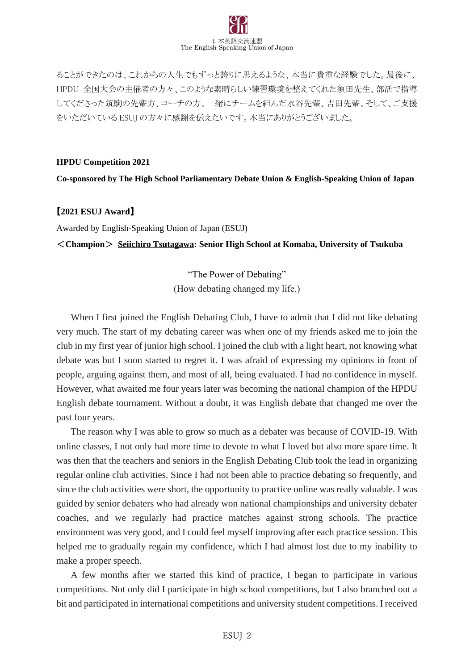# 日本英語交流連盟 The English-Speaking Union of Japan

ることができたのは、これからの人生でもずっと誇りに思えるような、本当に貴重な経験でした。最後に、 HPDU 全国大会の主催者の方々、このような素晴らしい練習環境を整えてくれた須田先生、部活で指導 してくださった筑駒の先輩方、コーチの方、一緒にチームを組んだ水谷先輩、吉田先輩、そして、ご支援 をいただいている ESUJ の方々に感謝を伝えたいです。本当にありがとうございました。

### **HPDU Competition 2021**

**Co-sponsored by The High School Parliamentary Debate Union & English-Speaking Union of Japan**

## 【**2021 ESUJ Award**】

Awarded by English-Speaking Union of Japan (ESUJ)

## <**Champion**> **Seiichiro Tsutagawa: Senior High School at Komaba, University of Tsukuba**

"The Power of Debating" (How debating changed my life.)

When I first joined the English Debating Club, I have to admit that I did not like debating very much. The start of my debating career was when one of my friends asked me to join the club in my first year of junior high school. I joined the club with a light heart, not knowing what debate was but I soon started to regret it. I was afraid of expressing my opinions in front of people, arguing against them, and most of all, being evaluated. I had no confidence in myself. However, what awaited me four years later was becoming the national champion of the HPDU English debate tournament. Without a doubt, it was English debate that changed me over the past four years.

 The reason why I was able to grow so much as a debater was because of COVID-19. With online classes, I not only had more time to devote to what I loved but also more spare time. It was then that the teachers and seniors in the English Debating Club took the lead in organizing regular online club activities. Since I had not been able to practice debating so frequently, and since the club activities were short, the opportunity to practice online was really valuable. I was guided by senior debaters who had already won national championships and university debater coaches, and we regularly had practice matches against strong schools. The practice environment was very good, and I could feel myself improving after each practice session. This helped me to gradually regain my confidence, which I had almost lost due to my inability to make a proper speech.

 A few months after we started this kind of practice, I began to participate in various competitions. Not only did I participate in high school competitions, but I also branched out a bit and participated in international competitions and university student competitions. I received